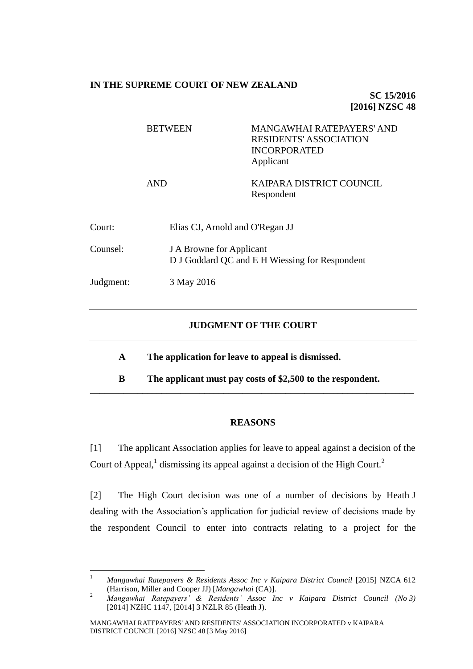## **IN THE SUPREME COURT OF NEW ZEALAND**

**SC 15/2016 [2016] NZSC 48**

|           | <b>BETWEEN</b> | <b>MANGAWHAI RATEPAYERS' AND</b><br><b>RESIDENTS' ASSOCIATION</b><br><b>INCORPORATED</b><br>Applicant |  |
|-----------|----------------|-------------------------------------------------------------------------------------------------------|--|
|           | <b>AND</b>     | KAIPARA DISTRICT COUNCIL<br>Respondent                                                                |  |
| Court:    |                | Elias CJ, Arnold and O'Regan JJ                                                                       |  |
| Counsel:  |                | <b>J A Browne for Applicant</b><br>D J Goddard QC and E H Wiessing for Respondent                     |  |
| Judgment: | 3 May 2016     |                                                                                                       |  |
|           |                |                                                                                                       |  |

## **JUDGMENT OF THE COURT**

- **A The application for leave to appeal is dismissed.**
- **B The applicant must pay costs of \$2,500 to the respondent.** \_\_\_\_\_\_\_\_\_\_\_\_\_\_\_\_\_\_\_\_\_\_\_\_\_\_\_\_\_\_\_\_\_\_\_\_\_\_\_\_\_\_\_\_\_\_\_\_\_\_\_\_\_\_\_\_\_\_\_\_\_\_\_\_\_\_\_\_

## **REASONS**

<span id="page-0-0"></span>[1] The applicant Association applies for leave to appeal against a decision of the Court of Appeal,<sup>1</sup> dismissing its appeal against a decision of the High Court.<sup>2</sup>

[2] The High Court decision was one of a number of decisions by Heath J dealing with the Association's application for judicial review of decisions made by the respondent Council to enter into contracts relating to a project for the

 $\overline{1}$ <sup>1</sup> *Mangawhai Ratepayers & Residents Assoc Inc v Kaipara District Council* [2015] NZCA 612 (Harrison, Miller and Cooper JJ) [*Mangawhai* (CA)].

<sup>2</sup> *Mangawhai Ratepayers' & Residents' Assoc Inc v Kaipara District Council (No 3)*  [2014] NZHC 1147, [2014] 3 NZLR 85 (Heath J).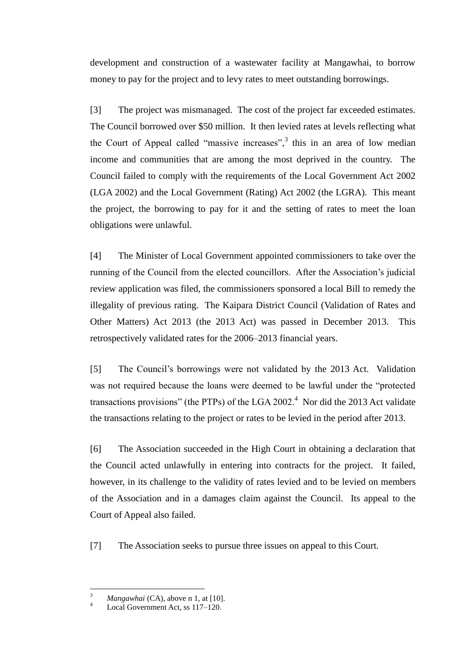development and construction of a wastewater facility at Mangawhai, to borrow money to pay for the project and to levy rates to meet outstanding borrowings.

[3] The project was mismanaged. The cost of the project far exceeded estimates. The Council borrowed over \$50 million. It then levied rates at levels reflecting what the Court of Appeal called "massive increases", $3$  this in an area of low median income and communities that are among the most deprived in the country. The Council failed to comply with the requirements of the Local Government Act 2002 (LGA 2002) and the Local Government (Rating) Act 2002 (the LGRA). This meant the project, the borrowing to pay for it and the setting of rates to meet the loan obligations were unlawful.

[4] The Minister of Local Government appointed commissioners to take over the running of the Council from the elected councillors. After the Association's judicial review application was filed, the commissioners sponsored a local Bill to remedy the illegality of previous rating. The Kaipara District Council (Validation of Rates and Other Matters) Act 2013 (the 2013 Act) was passed in December 2013. This retrospectively validated rates for the 2006–2013 financial years.

[5] The Council's borrowings were not validated by the 2013 Act. Validation was not required because the loans were deemed to be lawful under the "protected transactions provisions" (the PTPs) of the LGA 2002.<sup>4</sup> Nor did the 2013 Act validate the transactions relating to the project or rates to be levied in the period after 2013.

[6] The Association succeeded in the High Court in obtaining a declaration that the Council acted unlawfully in entering into contracts for the project. It failed, however, in its challenge to the validity of rates levied and to be levied on members of the Association and in a damages claim against the Council. Its appeal to the Court of Appeal also failed.

[7] The Association seeks to pursue three issues on appeal to this Court.

 $\overline{a}$ 

*Mangawhai* (CA), above n [1,](#page-0-0) at [10].

Local Government Act, ss 117–120.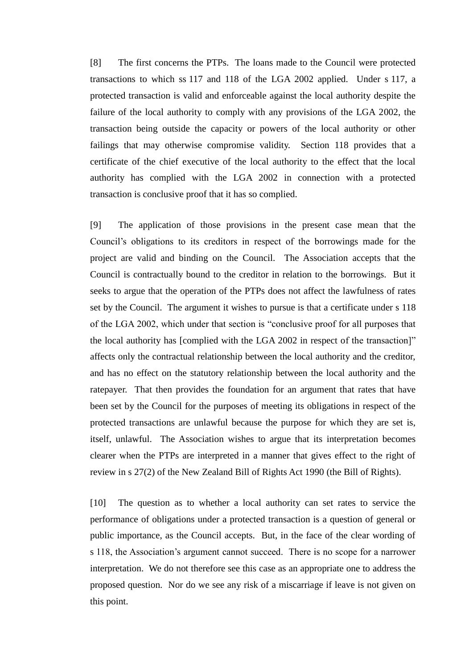[8] The first concerns the PTPs. The loans made to the Council were protected transactions to which ss 117 and 118 of the LGA 2002 applied. Under s 117, a protected transaction is valid and enforceable against the local authority despite the failure of the local authority to comply with any provisions of the LGA 2002, the transaction being outside the capacity or powers of the local authority or other failings that may otherwise compromise validity. Section 118 provides that a certificate of the chief executive of the local authority to the effect that the local authority has complied with the LGA 2002 in connection with a protected transaction is conclusive proof that it has so complied.

[9] The application of those provisions in the present case mean that the Council's obligations to its creditors in respect of the borrowings made for the project are valid and binding on the Council. The Association accepts that the Council is contractually bound to the creditor in relation to the borrowings. But it seeks to argue that the operation of the PTPs does not affect the lawfulness of rates set by the Council. The argument it wishes to pursue is that a certificate under s 118 of the LGA 2002, which under that section is "conclusive proof for all purposes that the local authority has [complied with the LGA 2002 in respect of the transaction]" affects only the contractual relationship between the local authority and the creditor, and has no effect on the statutory relationship between the local authority and the ratepayer. That then provides the foundation for an argument that rates that have been set by the Council for the purposes of meeting its obligations in respect of the protected transactions are unlawful because the purpose for which they are set is, itself, unlawful. The Association wishes to argue that its interpretation becomes clearer when the PTPs are interpreted in a manner that gives effect to the right of review in s 27(2) of the New Zealand Bill of Rights Act 1990 (the Bill of Rights).

[10] The question as to whether a local authority can set rates to service the performance of obligations under a protected transaction is a question of general or public importance, as the Council accepts. But, in the face of the clear wording of s 118, the Association's argument cannot succeed. There is no scope for a narrower interpretation. We do not therefore see this case as an appropriate one to address the proposed question. Nor do we see any risk of a miscarriage if leave is not given on this point.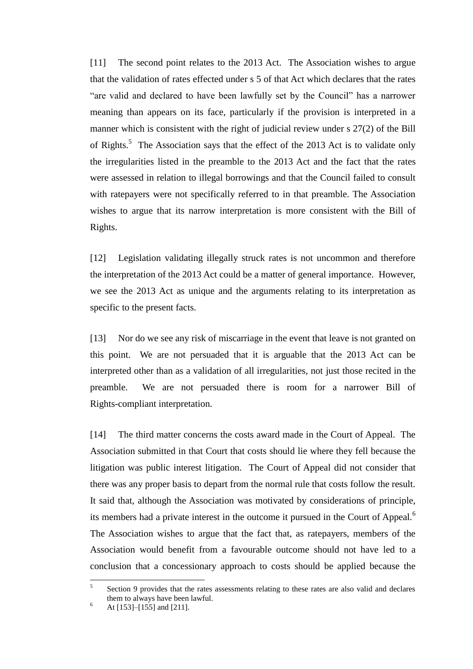[11] The second point relates to the 2013 Act. The Association wishes to argue that the validation of rates effected under s 5 of that Act which declares that the rates "are valid and declared to have been lawfully set by the Council" has a narrower meaning than appears on its face, particularly if the provision is interpreted in a manner which is consistent with the right of judicial review under s 27(2) of the Bill of Rights.<sup>5</sup> The Association says that the effect of the 2013 Act is to validate only the irregularities listed in the preamble to the 2013 Act and the fact that the rates were assessed in relation to illegal borrowings and that the Council failed to consult with ratepayers were not specifically referred to in that preamble. The Association wishes to argue that its narrow interpretation is more consistent with the Bill of Rights.

[12] Legislation validating illegally struck rates is not uncommon and therefore the interpretation of the 2013 Act could be a matter of general importance. However, we see the 2013 Act as unique and the arguments relating to its interpretation as specific to the present facts.

[13] Nor do we see any risk of miscarriage in the event that leave is not granted on this point. We are not persuaded that it is arguable that the 2013 Act can be interpreted other than as a validation of all irregularities, not just those recited in the preamble. We are not persuaded there is room for a narrower Bill of Rights-compliant interpretation.

[14] The third matter concerns the costs award made in the Court of Appeal. The Association submitted in that Court that costs should lie where they fell because the litigation was public interest litigation. The Court of Appeal did not consider that there was any proper basis to depart from the normal rule that costs follow the result. It said that, although the Association was motivated by considerations of principle, its members had a private interest in the outcome it pursued in the Court of Appeal.<sup>6</sup> The Association wishes to argue that the fact that, as ratepayers, members of the Association would benefit from a favourable outcome should not have led to a conclusion that a concessionary approach to costs should be applied because the

 5 Section 9 provides that the rates assessments relating to these rates are also valid and declares them to always have been lawful.

 $^{6}$  At [153]–[155] and [211].